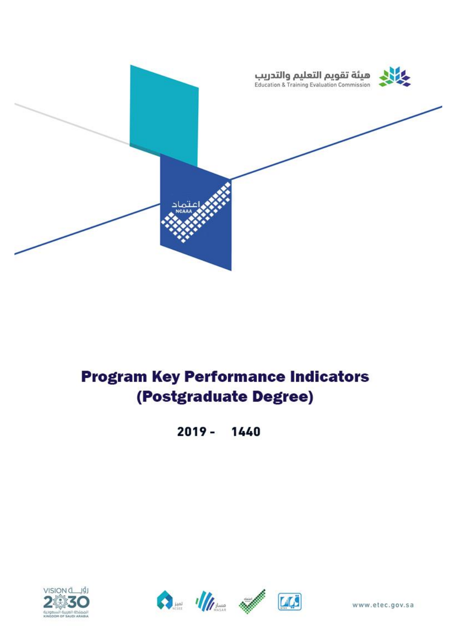

## **Program Key Performance Indicators** (Postgraduate Degree)

 $2019 -$ 1440







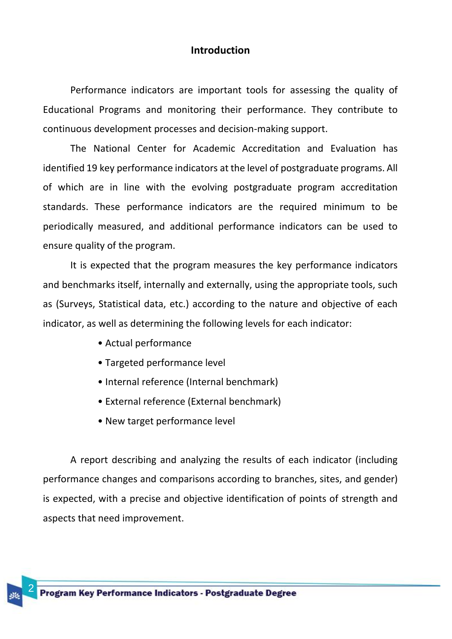## **Introduction**

Performance indicators are important tools for assessing the quality of Educational Programs and monitoring their performance. They contribute to continuous development processes and decision-making support.

The National Center for Academic Accreditation and Evaluation has identified 19 key performance indicators at the level of postgraduate programs. All of which are in line with the evolving postgraduate program accreditation standards. These performance indicators are the required minimum to be periodically measured, and additional performance indicators can be used to ensure quality of the program.

It is expected that the program measures the key performance indicators and benchmarks itself, internally and externally, using the appropriate tools, such as (Surveys, Statistical data, etc.) according to the nature and objective of each indicator, as well as determining the following levels for each indicator:

- Actual performance
- Targeted performance level
- Internal reference (Internal benchmark)
- External reference (External benchmark)
- New target performance level

A report describing and analyzing the results of each indicator (including performance changes and comparisons according to branches, sites, and gender) is expected, with a precise and objective identification of points of strength and aspects that need improvement.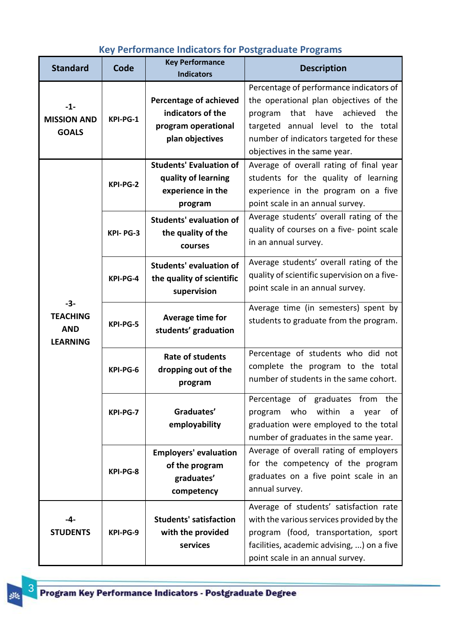## **Key Performance Indicators for Postgraduate Programs**

| <b>Standard</b>                                           | Code     | <b>Key Performance</b><br><b>Indicators</b>                                           | <b>Description</b>                                                                                                                                                                                                                            |
|-----------------------------------------------------------|----------|---------------------------------------------------------------------------------------|-----------------------------------------------------------------------------------------------------------------------------------------------------------------------------------------------------------------------------------------------|
| $-1-$<br><b>MISSION AND</b><br><b>GOALS</b>               | KPI-PG-1 | Percentage of achieved<br>indicators of the<br>program operational<br>plan objectives | Percentage of performance indicators of<br>the operational plan objectives of the<br>that have<br>achieved<br>the<br>program<br>targeted annual level to the total<br>number of indicators targeted for these<br>objectives in the same year. |
| $-3-$<br><b>TEACHING</b><br><b>AND</b><br><b>LEARNING</b> | KPI-PG-2 | <b>Students' Evaluation of</b><br>quality of learning<br>experience in the<br>program | Average of overall rating of final year<br>students for the quality of learning<br>experience in the program on a five<br>point scale in an annual survey.                                                                                    |
|                                                           | KPI-PG-3 | <b>Students' evaluation of</b><br>the quality of the<br>courses                       | Average students' overall rating of the<br>quality of courses on a five- point scale<br>in an annual survey.                                                                                                                                  |
|                                                           | KPI-PG-4 | <b>Students' evaluation of</b><br>the quality of scientific<br>supervision            | Average students' overall rating of the<br>quality of scientific supervision on a five-<br>point scale in an annual survey.                                                                                                                   |
|                                                           | KPI-PG-5 | Average time for<br>students' graduation                                              | Average time (in semesters) spent by<br>students to graduate from the program.                                                                                                                                                                |
|                                                           | KPI-PG-6 | <b>Rate of students</b><br>dropping out of the<br>program                             | Percentage of students who did not<br>complete the program to the total<br>number of students in the same cohort.                                                                                                                             |
|                                                           | KPI-PG-7 | Graduates'<br>employability                                                           | Percentage of graduates from the<br>within<br>program who<br>$\mathsf{a}$<br>year<br>of<br>graduation were employed to the total<br>number of graduates in the same year.                                                                     |
|                                                           | KPI-PG-8 | <b>Employers' evaluation</b><br>of the program<br>graduates'<br>competency            | Average of overall rating of employers<br>for the competency of the program<br>graduates on a five point scale in an<br>annual survey.                                                                                                        |
| -4-<br><b>STUDENTS</b>                                    | KPI-PG-9 | <b>Students' satisfaction</b><br>with the provided<br>services                        | Average of students' satisfaction rate<br>with the various services provided by the<br>program (food, transportation, sport<br>facilities, academic advising, ) on a five<br>point scale in an annual survey.                                 |

雖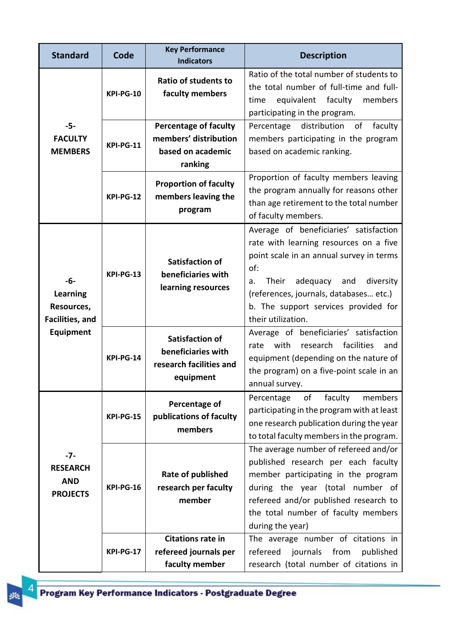| <b>Standard</b>                                               | Code             | <b>Key Performance</b><br><b>Indicators</b>                                           | <b>Description</b>                                                                                                                                                                                                                                                                         |
|---------------------------------------------------------------|------------------|---------------------------------------------------------------------------------------|--------------------------------------------------------------------------------------------------------------------------------------------------------------------------------------------------------------------------------------------------------------------------------------------|
| $-5-$<br><b>FACULTY</b><br><b>MEMBERS</b>                     | <b>KPI-PG-10</b> | <b>Ratio of students to</b><br>faculty members                                        | Ratio of the total number of students to<br>the total number of full-time and full-<br>equivalent faculty<br>members<br>time<br>participating in the program.                                                                                                                              |
|                                                               | <b>KPI-PG-11</b> | <b>Percentage of faculty</b><br>members' distribution<br>based on academic<br>ranking | distribution<br>of<br>faculty<br>Percentage<br>members participating in the program<br>based on academic ranking.                                                                                                                                                                          |
|                                                               | <b>KPI-PG-12</b> | <b>Proportion of faculty</b><br>members leaving the<br>program                        | Proportion of faculty members leaving<br>the program annually for reasons other<br>than age retirement to the total number<br>of faculty members.                                                                                                                                          |
| -6-<br>Learning<br>Resources,<br>Facilities, and<br>Equipment | <b>KPI-PG-13</b> | <b>Satisfaction of</b><br>beneficiaries with<br>learning resources                    | Average of beneficiaries' satisfaction<br>rate with learning resources on a five<br>point scale in an annual survey in terms<br>of:<br>Their<br>adequacy<br>and<br>diversity<br>a.<br>(references, journals, databases etc.)<br>b. The support services provided for<br>their utilization. |
|                                                               | <b>KPI-PG-14</b> | <b>Satisfaction of</b><br>beneficiaries with<br>research facilities and<br>equipment  | Average of beneficiaries' satisfaction<br>with<br>research<br>facilities<br>rate<br>and<br>equipment (depending on the nature of<br>the program) on a five-point scale in an<br>annual survey.                                                                                             |
| $-7-$<br><b>RESEARCH</b><br><b>AND</b><br><b>PROJECTS</b>     | <b>KPI-PG-15</b> | Percentage of<br>publications of faculty<br>members                                   | faculty<br>Percentage<br>members<br>of<br>participating in the program with at least<br>one research publication during the year<br>to total faculty members in the program.                                                                                                               |
|                                                               | KPI-PG-16        | Rate of published<br>research per faculty<br>member                                   | The average number of refereed and/or<br>published research per each faculty<br>member participating in the program<br>during the year (total number of<br>refereed and/or published research to<br>the total number of faculty members<br>during the year)                                |
|                                                               | <b>KPI-PG-17</b> | <b>Citations rate in</b><br>refereed journals per<br>faculty member                   | The average number of citations in<br>journals from<br>refereed<br>published<br>research (total number of citations in                                                                                                                                                                     |